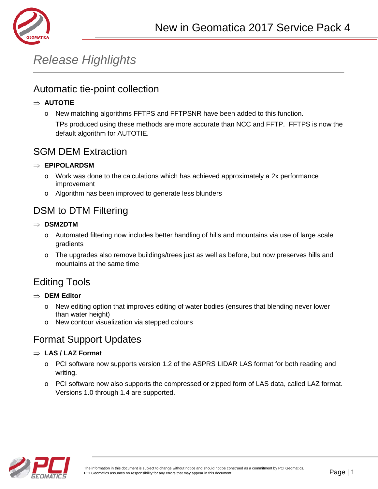

# *Release Highlights*

#### Automatic tie-point collection

#### ⇒ **AUTOTIE**

o New matching algorithms FFTPS and FFTPSNR have been added to this function.

TPs produced using these methods are more accurate than NCC and FFTP. FFTPS is now the default algorithm for AUTOTIE.

#### SGM DEM Extraction

#### ⇒ **EPIPOLARDSM**

- $\circ$  Work was done to the calculations which has achieved approximately a 2x performance improvement
- o Algorithm has been improved to generate less blunders

### DSM to DTM Filtering

- ⇒ **DSM2DTM**
	- o Automated filtering now includes better handling of hills and mountains via use of large scale gradients
	- o The upgrades also remove buildings/trees just as well as before, but now preserves hills and mountains at the same time

### Editing Tools

- ⇒ **DEM Editor**
	- o New editing option that improves editing of water bodies (ensures that blending never lower than water height)
	- o New contour visualization via stepped colours

## Format Support Updates

#### ⇒ **LAS / LAZ Format**

- o PCI software now supports version 1.2 of the ASPRS LIDAR LAS format for both reading and writing.
- o PCI software now also supports the compressed or zipped form of LAS data, called LAZ format. Versions 1.0 through 1.4 are supported.